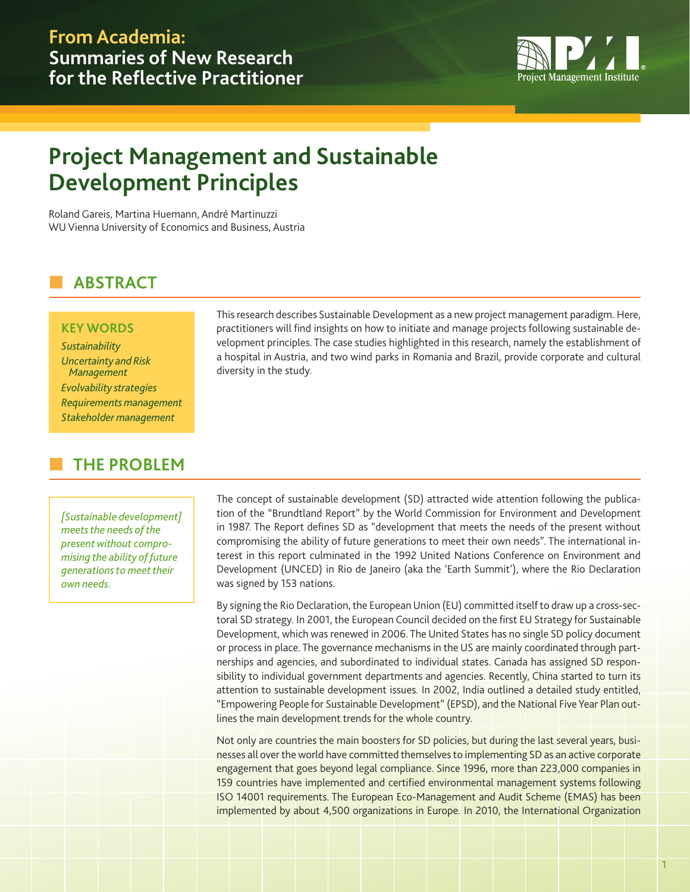

# **Project Management and Sustainable Development Principles**

Roland Gareis, Martina Huemann, André Martinuzzi WU Vienna University of Economics and Business, Austria

## n **ABSTRACT**

#### **KEY WORDS**

*Sustainability Uncertainty and Risk Management Evolvability strategies Requirements management Stakeholder management*

## n **THE PROBLEM**

*[Sustainable development] meets the needs of the present without compromising the ability of future generations to meet their own needs.*

This research describes Sustainable Development as a new project management paradigm. Here, practitioners will find insights on how to initiate and manage projects following sustainable development principles. The case studies highlighted in this research, namely the establishment of a hospital in Austria, and two wind parks in Romania and Brazil, provide corporate and cultural diversity in the study.

The concept of sustainable development (SD) attracted wide attention following the publication of the "Brundtland Report" by the World Commission for Environment and Development in 1987. The Report defines SD as "development that meets the needs of the present without compromising the ability of future generations to meet their own needs". The international interest in this report culminated in the 1992 United Nations Conference on Environment and Development (UNCED) in Rio de Janeiro (aka the 'Earth Summit'), where the Rio Declaration was signed by 153 nations.

By signing the Rio Declaration, the European Union (EU) committed itself to draw up a cross-sectoral SD strategy. In 2001, the European Council decided on the first EU Strategy for Sustainable Development, which was renewed in 2006. The United States has no single SD policy document or process in place. The governance mechanisms in the US are mainly coordinated through partnerships and agencies, and subordinated to individual states. Canada has assigned SD responsibility to individual government departments and agencies. Recently, China started to turn its attention to sustainable development issues. In 2002, India outlined a detailed study entitled, "Empowering People for Sustainable Development" (EPSD), and the National Five Year Plan outlines the main development trends for the whole country.

Not only are countries the main boosters for SD policies, but during the last several years, businesses all over the world have committed themselves to implementing SD as an active corporate engagement that goes beyond legal compliance. Since 1996, more than 223,000 companies in 159 countries have implemented and certified environmental management systems following ISO 14001 requirements. The European Eco-Management and Audit Scheme (EMAS) has been implemented by about 4,500 organizations in Europe. In 2010, the International Organization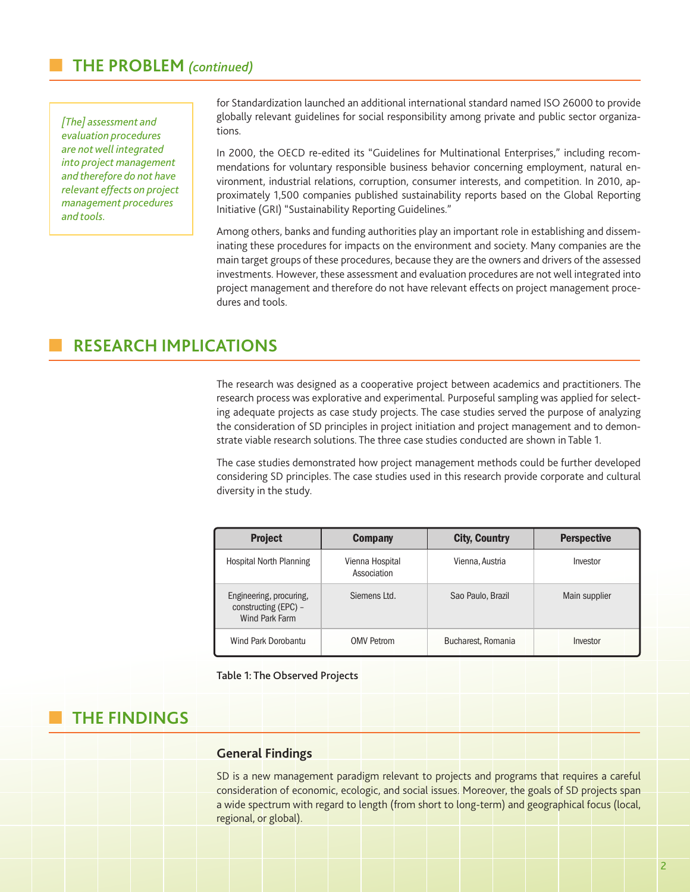## n **THE PROBLEM** *(continued)*

*[The] assessment and evaluation procedures are not well integrated into project management and therefore do not have relevant effects on project management procedures and tools.*

for Standardization launched an additional international standard named ISO 26000 to provide globally relevant guidelines for social responsibility among private and public sector organizations.

In 2000, the OECD re-edited its "Guidelines for Multinational Enterprises," including recommendations for voluntary responsible business behavior concerning employment, natural environment, industrial relations, corruption, consumer interests, and competition. In 2010, approximately 1,500 companies published sustainability reports based on the Global Reporting Initiative (GRI) "Sustainability Reporting Guidelines."

Among others, banks and funding authorities play an important role in establishing and disseminating these procedures for impacts on the environment and society. Many companies are the main target groups of these procedures, because they are the owners and drivers of the assessed investments. However, these assessment and evaluation procedures are not well integrated into project management and therefore do not have relevant effects on project management procedures and tools.

## n **RESEARCH IMPLICATIONS**

The research was designed as a cooperative project between academics and practitioners. The research process was explorative and experimental. Purposeful sampling was applied for selecting adequate projects as case study projects. The case studies served the purpose of analyzing the consideration of SD principles in project initiation and project management and to demonstrate viable research solutions. The three case studies conducted are shown in Table 1.

The case studies demonstrated how project management methods could be further developed considering SD principles. The case studies used in this research provide corporate and cultural diversity in the study.

| <b>Project</b>                                                    | <b>Company</b>                 | <b>City, Country</b> | <b>Perspective</b> |
|-------------------------------------------------------------------|--------------------------------|----------------------|--------------------|
| Hospital North Planning                                           | Vienna Hospital<br>Association | Vienna, Austria      | Investor           |
| Engineering, procuring,<br>constructing (EPC) -<br>Wind Park Farm | Siemens Ltd.                   | Sao Paulo, Brazil    | Main supplier      |
| Wind Park Dorobantu                                               | <b>OMV Petrom</b>              | Bucharest, Romania   | Investor           |

Table 1: The Observed Projects

## n **THE FINDINGS**

#### **General Findings**

SD is a new management paradigm relevant to projects and programs that requires a careful consideration of economic, ecologic, and social issues. Moreover, the goals of SD projects span a wide spectrum with regard to length (from short to long-term) and geographical focus (local, regional, or global).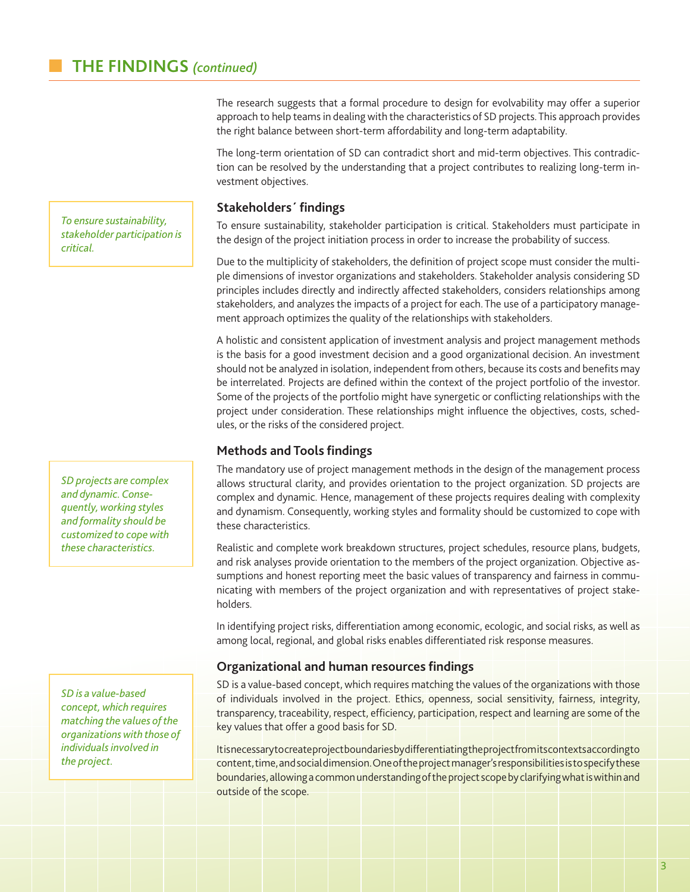The research suggests that a formal procedure to design for evolvability may offer a superior approach to help teams in dealing with the characteristics of SD projects. This approach provides the right balance between short-term affordability and long-term adaptability.

The long-term orientation of SD can contradict short and mid-term objectives. This contradiction can be resolved by the understanding that a project contributes to realizing long-term investment objectives.

#### **Stakeholders´ findings**

To ensure sustainability, stakeholder participation is critical. Stakeholders must participate in the design of the project initiation process in order to increase the probability of success.

Due to the multiplicity of stakeholders, the definition of project scope must consider the multiple dimensions of investor organizations and stakeholders. Stakeholder analysis considering SD principles includes directly and indirectly affected stakeholders, considers relationships among stakeholders, and analyzes the impacts of a project for each. The use of a participatory management approach optimizes the quality of the relationships with stakeholders.

A holistic and consistent application of investment analysis and project management methods is the basis for a good investment decision and a good organizational decision. An investment should not be analyzed in isolation, independent from others, because its costs and benefits may be interrelated. Projects are defined within the context of the project portfolio of the investor. Some of the projects of the portfolio might have synergetic or conflicting relationships with the project under consideration. These relationships might influence the objectives, costs, schedules, or the risks of the considered project.

#### **Methods and Tools findings**

The mandatory use of project management methods in the design of the management process allows structural clarity, and provides orientation to the project organization. SD projects are complex and dynamic. Hence, management of these projects requires dealing with complexity and dynamism. Consequently, working styles and formality should be customized to cope with these characteristics.

Realistic and complete work breakdown structures, project schedules, resource plans, budgets, and risk analyses provide orientation to the members of the project organization. Objective assumptions and honest reporting meet the basic values of transparency and fairness in communicating with members of the project organization and with representatives of project stakeholders.

In identifying project risks, differentiation among economic, ecologic, and social risks, as well as among local, regional, and global risks enables differentiated risk response measures.

#### **Organizational and human resources findings**

SD is a value-based concept, which requires matching the values of the organizations with those of individuals involved in the project. Ethics, openness, social sensitivity, fairness, integrity, transparency, traceability, respect, efficiency, participation, respect and learning are some of the key values that offer a good basis for SD.

It is necessary to create project boundaries by differentiating the project from its contexts according to content, time, and social dimension. One of the project manager's responsibilities is to specify these boundaries, allowing a common understanding of the project scope by clarifying what is within and outside of the scope.

*To ensure sustainability, stakeholder participation is critical.*

*SD projects are complex and dynamic. Consequently, working styles and formality should be customized to cope with these characteristics.*

*SD is a value-based concept, which requires matching the values of the organizations with those of individuals involved in the project.*